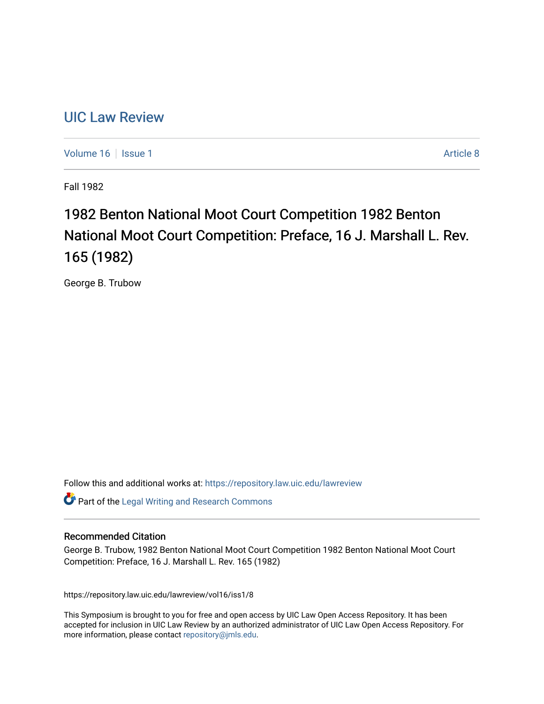## [UIC Law Review](https://repository.law.uic.edu/lawreview)

[Volume 16](https://repository.law.uic.edu/lawreview/vol16) | [Issue 1](https://repository.law.uic.edu/lawreview/vol16/iss1) Article 8

Fall 1982

# 1982 Benton National Moot Court Competition 1982 Benton National Moot Court Competition: Preface, 16 J. Marshall L. Rev. 165 (1982)

George B. Trubow

Follow this and additional works at: [https://repository.law.uic.edu/lawreview](https://repository.law.uic.edu/lawreview?utm_source=repository.law.uic.edu%2Flawreview%2Fvol16%2Fiss1%2F8&utm_medium=PDF&utm_campaign=PDFCoverPages) 

Part of the [Legal Writing and Research Commons](http://network.bepress.com/hgg/discipline/614?utm_source=repository.law.uic.edu%2Flawreview%2Fvol16%2Fiss1%2F8&utm_medium=PDF&utm_campaign=PDFCoverPages) 

#### Recommended Citation

George B. Trubow, 1982 Benton National Moot Court Competition 1982 Benton National Moot Court Competition: Preface, 16 J. Marshall L. Rev. 165 (1982)

https://repository.law.uic.edu/lawreview/vol16/iss1/8

This Symposium is brought to you for free and open access by UIC Law Open Access Repository. It has been accepted for inclusion in UIC Law Review by an authorized administrator of UIC Law Open Access Repository. For more information, please contact [repository@jmls.edu.](mailto:repository@jmls.edu)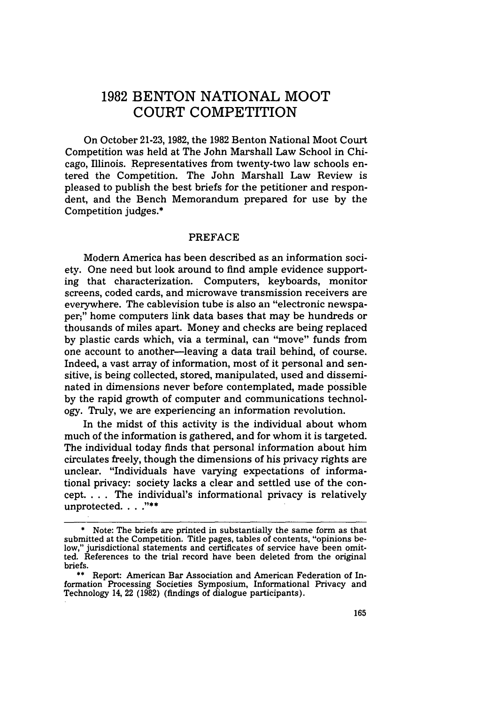### **1982 BENTON** NATIONAL MOOT **COURT** COMPETITION

On October 21-23, 1982, the 1982 Benton National Moot Court Competition was held at The John Marshall Law School in Chicago, Illinois. Representatives from twenty-two law schools entered the Competition. The John Marshall Law Review is pleased to publish the best briefs for the petitioner and respondent, and the Bench Memorandum prepared for use by the Competition judges.\*

#### **PREFACE**

Modern America has been described as an information society. One need but look around to find ample evidence supporting that characterization. Computers, keyboards, monitor screens, coded cards, and microwave transmission receivers are everywhere. The cablevision tube is also an "electronic newspaper;" home computers link data bases that may be hundreds or thousands of miles apart. Money and checks are being replaced by plastic cards which, via a terminal, can "move" funds from one account to another-leaving a data trail behind, of course. Indeed, a vast array of information, most of it personal and sensitive, is being collected, stored, manipulated, used and disseminated in dimensions never before contemplated, made possible by the rapid growth of computer and communications technology. Truly, we are experiencing an information revolution.

In the midst of this activity is the individual about whom much of the information is gathered, and for whom it is targeted. The individual today finds that personal information about him circulates freely, though the dimensions of his privacy rights are unclear. "Individuals have varying expectations of informational privacy: society lacks a clear and settled use of the concept. ... The individual's informational privacy is relatively unprotected. . . ."\*\*

<sup>\*</sup> Note: The briefs are printed in substantially the same form as that submitted at the Competition. Title pages, tables of contents, "opinions below," jurisdictional statements and certificates of service have been omitted. References to the trial record have been deleted from the original briefs.

**<sup>\*\*</sup>** Report: American Bar Association and American Federation of Information Processing Societies Symposium, Informational Privacy and Technology 14, 22 (1982) (findings of dialogue participants).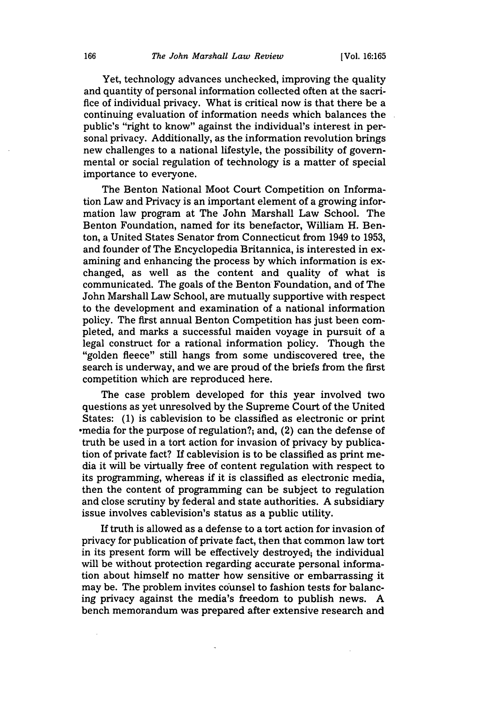Yet, technology advances unchecked, improving the quality and quantity of personal information collected often at the sacrifice of individual privacy. What is critical now is that there be a continuing evaluation of information needs which balances the public's "right to know" against the individual's interest in personal privacy. Additionally, as the information revolution brings new challenges to a national lifestyle, the possibility of governmental or social regulation of technology is a matter of special importance to everyone.

The Benton National Moot Court Competition on Information Law and Privacy is an important element of a growing information law program at The John Marshall Law School. The Benton Foundation, named for its benefactor, William H. Benton, a United States Senator from Connecticut from 1949 to 1953, and founder of The Encyclopedia Britannica, is interested in examining and enhancing the process by which information is exchanged, as well as the content and quality of what is communicated. The goals of the Benton Foundation, and of The John Marshall Law School, are mutually supportive with respect to the development and examination of a national information policy. The first annual Benton Competition has just been completed, and marks a successful maiden voyage in pursuit of a legal construct for a rational information policy. Though the "golden fleece" still hangs from some undiscovered tree, the search is underway, and we are proud of the briefs from the first competition which are reproduced here.

The case problem developed for this year involved two questions as yet unresolved by the Supreme Court of the United States: (1) is cablevision to be classified as electronic or print -media for the purpose of regulation?; and, (2) can the defense of truth be used in a tort action for invasion of privacy by publication of private fact? If cablevision is to be classified as print media it will be virtually free of content regulation with respect to its programming, whereas if it is classified as electronic media, then the content of programming can be subject to regulation and close scrutiny by federal and state authorities. A subsidiary issue involves cablevision's status as a public utility.

If truth is allowed as a defense to a tort action for invasion of privacy for publication of private fact, then that common law tort in its present form will be effectively destroyed; the individual will be without protection regarding accurate personal information about himself no matter how sensitive or embarrassing it may be. The problem invites counsel to fashion tests for balancing privacy against the media's freedom to publish news. A bench memorandum was prepared after extensive research and